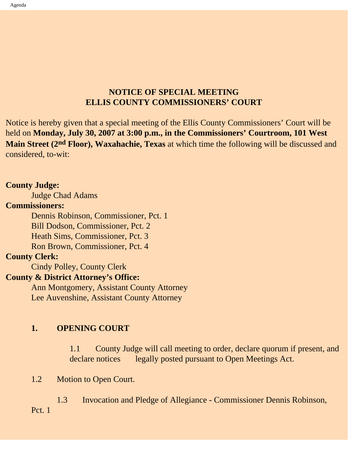# **NOTICE OF SPECIAL MEETING ELLIS COUNTY COMMISSIONERS' COURT**

Notice is hereby given that a special meeting of the Ellis County Commissioners' Court will be held on **Monday, July 30, 2007 at 3:00 p.m., in the Commissioners' Courtroom, 101 West Main Street (2nd Floor), Waxahachie, Texas** at which time the following will be discussed and considered, to-wit:

## **County Judge:**

Judge Chad Adams

#### **Commissioners:**

 Dennis Robinson, Commissioner, Pct. 1 Bill Dodson, Commissioner, Pct. 2 Heath Sims, Commissioner, Pct. 3 Ron Brown, Commissioner, Pct. 4

### **County Clerk:**

Cindy Polley, County Clerk

# **County & District Attorney's Office:**

 Ann Montgomery, Assistant County Attorney Lee Auvenshine, Assistant County Attorney

## **1. OPENING COURT**

1.1 County Judge will call meeting to order, declare quorum if present, and declare notices legally posted pursuant to Open Meetings Act.

#### 1.2 Motion to Open Court.

 1.3 Invocation and Pledge of Allegiance - Commissioner Dennis Robinson, Pct. 1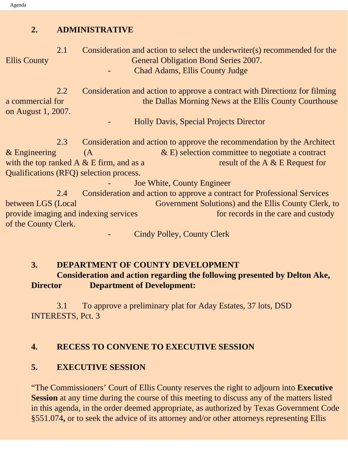## **2. ADMINISTRATIVE**

 2.1 Consideration and action to select the underwriter(s) recommended for the Ellis County General Obligation Bond Series 2007. - Chad Adams, Ellis County Judge

 2.2 Consideration and action to approve a contract with Directionz for filming a commercial for the Dallas Morning News at the Ellis County Courthouse on August 1, 2007.

- Holly Davis, Special Projects Director

 2.3 Consideration and action to approve the recommendation by the Architect & Engineering  $(A \times E)$  selection committee to negotiate a contract with the top ranked A  $&$  E firm, and as a result of the A  $&$  E Request for Qualifications (RFQ) selection process.

Joe White, County Engineer

 2.4 Consideration and action to approve a contract for Professional Services between LGS (Local Government Solutions) and the Ellis County Clerk, to provide imaging and indexing services for records in the care and custody of the County Clerk.

Cindy Polley, County Clerk

## **3. DEPARTMENT OF COUNTY DEVELOPMENT Consideration and action regarding the following presented by Delton Ake, Director Department of Development:**

3.1 To approve a preliminary plat for Aday Estates, 37 lots, DSD INTERESTS, Pct. 3

#### **4. RECESS TO CONVENE TO EXECUTIVE SESSION**

### **5. EXECUTIVE SESSION**

"The Commissioners' Court of Ellis County reserves the right to adjourn into **Executive Session** at any time during the course of this meeting to discuss any of the matters listed in this agenda, in the order deemed appropriate, as authorized by Texas Government Code §551.074**,** or to seek the advice of its attorney and/or other attorneys representing Ellis